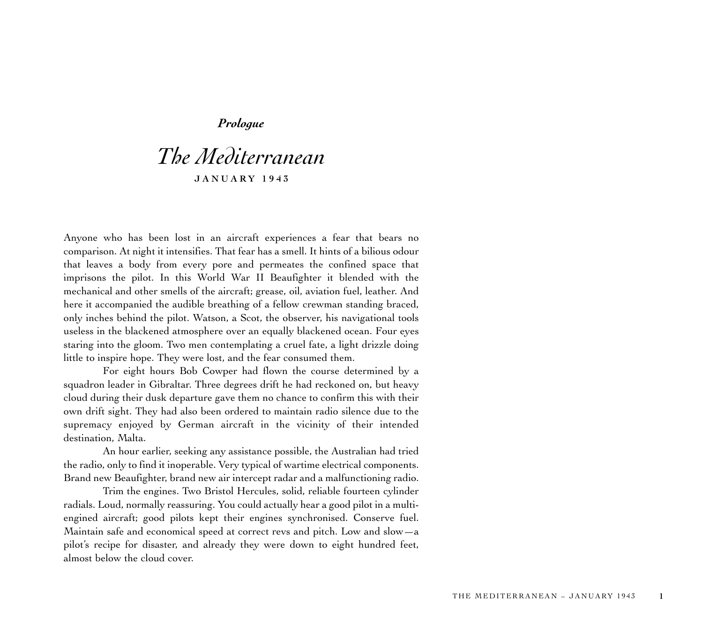## *Prologue*

## *The Mediterranean* **JANUARY 1943**

Anyone who has been lost in an aircraft experiences a fear that bears no comparison. At night it intensifies. That fear has a smell. It hints of a bilious odour that leaves a body from every pore and permeates the confined space that imprisons the pilot. In this World War II Beaufighter it blended with the mechanical and other smells of the aircraft; grease, oil, aviation fuel, leather. And here it accompanied the audible breathing of a fellow crewman standing braced, only inches behind the pilot. Watson, a Scot, the observer, his navigational tools useless in the blackened atmosphere over an equally blackened ocean. Four eyes staring into the gloom. Two men contemplating a cruel fate, a light drizzle doing little to inspire hope. They were lost, and the fear consumed them.

For eight hours Bob Cowper had flown the course determined by a squadron leader in Gibraltar. Three degrees drift he had reckoned on, but heavy cloud during their dusk departure gave them no chance to confirm this with their own drift sight. They had also been ordered to maintain radio silence due to the supremacy enjoyed by German aircraft in the vicinity of their intended destination, Malta.

An hour earlier, seeking any assistance possible, the Australian had tried the radio, only to find it inoperable. Very typical of wartime electrical components. Brand new Beaufighter, brand new air intercept radar and a malfunctioning radio.

Trim the engines. Two Bristol Hercules, solid, reliable fourteen cylinder radials. Loud, normally reassuring. You could actually hear a good pilot in a multiengined aircraft; good pilots kept their engines synchronised. Conserve fuel. Maintain safe and economical speed at correct revs and pitch. Low and slow—a <sup>p</sup>ilot's recipe for disaster, and already they were down to eight hundred feet, almost below the cloud cover.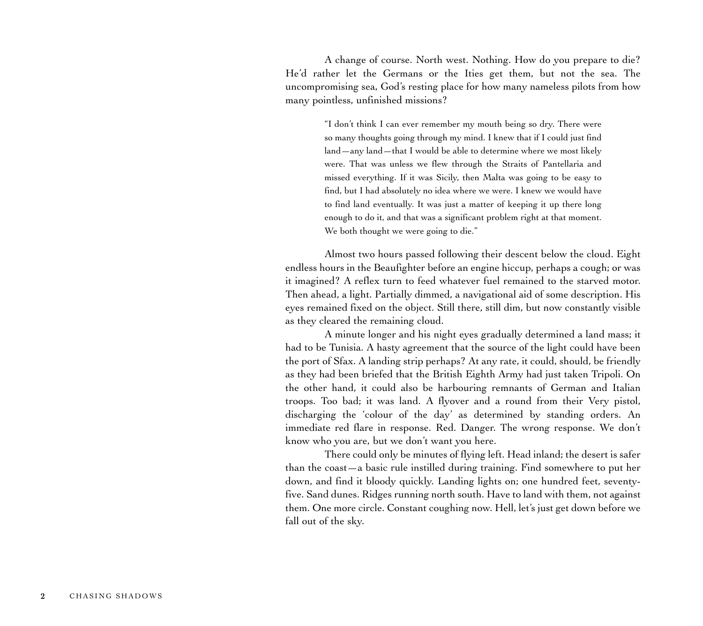A change of course. North west. Nothing. How do you prepare to die? He'd rather let the Germans or the Ities get them, but not the sea. The uncompromising sea, God's resting place for how many nameless pilots from how many pointless, unfinished missions?

> "I don't think I can ever remember my mouth being so dry. There were so many thoughts going through my mind. I knew that if I could just find land—any land—that I would be able to determine where we most likely were. That was unless we flew through the Straits of Pantellaria and missed everything. If it was Sicily, then Malta was going to be easy to find, but I had absolutely no idea where we were. I knew we would have to find land eventually. It was just a matter of keeping it up there long enough to do it, and that was a significant problem right at that moment. We both thought we were going to die."

Almost two hours passed following their descent below the cloud. Eight endless hours in the Beaufighter before an engine hiccup, perhaps a cough; or was it imagined? A reflex turn to feed whatever fuel remained to the starved motor. Then ahead, a light. Partially dimmed, a navigational aid of some description. His eyes remained fixed on the object. Still there, still dim, but now constantly visible as they cleared the remaining cloud.

A minute longer and his night eyes gradually determined a land mass; it had to be Tunisia. A hasty agreement that the source of the light could have been the port of Sfax. A landing strip perhaps? At any rate, it could, should, be friendly as they had been briefed that the British Eighth Army had just taken Tripoli. On the other hand, it could also be harbouring remnants of German and Italian troops. Too bad; it was land. A flyover and a round from their Very pistol, discharging the 'colour of the day' as determined by standing orders. An immediate red flare in response. Red. Danger. The wrong response. We don't know who you are, but we don't want you here.

There could only be minutes of flying left. Head inland; the desert is safer than the coast—a basic rule instilled during training. Find somewhere to put her down, and find it bloody quickly. Landing lights on; one hundred feet, seventyfive. Sand dunes. Ridges running north south. Have to land with them, not against them. One more circle. Constant coughing now. Hell, let's just get down before we fall out of the sky.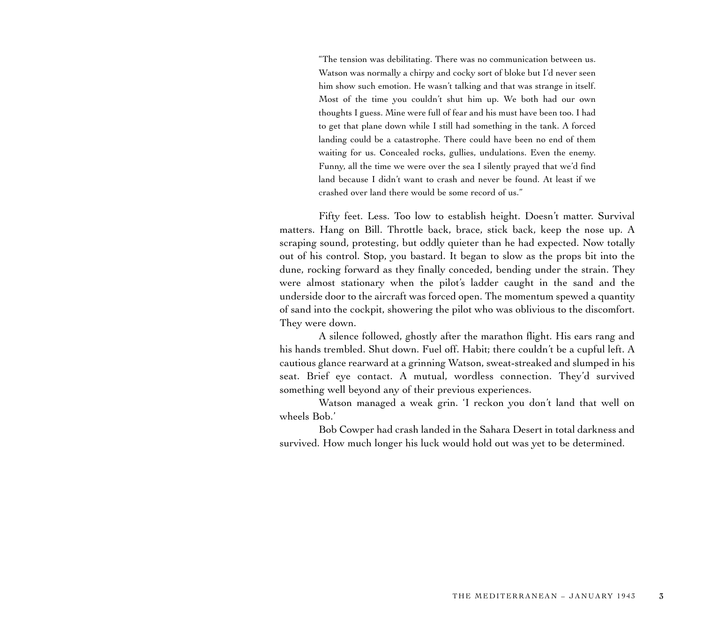"The tension was debilitating. There was no communication between us. Watson was normally a chirpy and cocky sort of bloke but I'd never seen him show such emotion. He wasn't talking and that was strange in itself. Most of the time you couldn't shut him up. We both had our own thoughts I guess. Mine were full of fear and his must have been too. I had to get that plane down while I still had something in the tank. A forced landing could be a catastrophe. There could have been no end of them waiting for us. Concealed rocks, gullies, undulations. Even the enemy. Funny, all the time we were over the sea I silently prayed that we'd find land because I didn't want to crash and never be found. At least if we crashed over land there would be some record of us."

Fifty feet. Less. Too low to establish height. Doesn't matter. Survival matters. Hang on Bill. Throttle back, brace, stick back, keep the nose up. A scraping sound, protesting, but oddly quieter than he had expected. Now totally out of his control. Stop, you bastard. It began to slow as the props bit into the dune, rocking forward as they finally conceded, bending under the strain. They were almost stationary when the pilot's ladder caught in the sand and the underside door to the aircraft was forced open. The momentum spewed a quantity of sand into the cockpit, showering the pilot who was oblivious to the discomfort. They were down.

A silence followed, ghostly after the marathon flight. His ears rang and his hands trembled. Shut down. Fuel off. Habit; there couldn't be a cupful left. A cautious glance rearward at a grinning Watson, sweat-streaked and slumped in his seat. Brief eye contact. A mutual, wordless connection. They'd survived something well beyond any of their previous experiences.

Watson managed a weak grin. 'I reckon you don't land that well on wheels Bob.'

Bob Cowper had crash landed in the Sahara Desert in total darkness and survived. How much longer his luck would hold out was yet to be determined.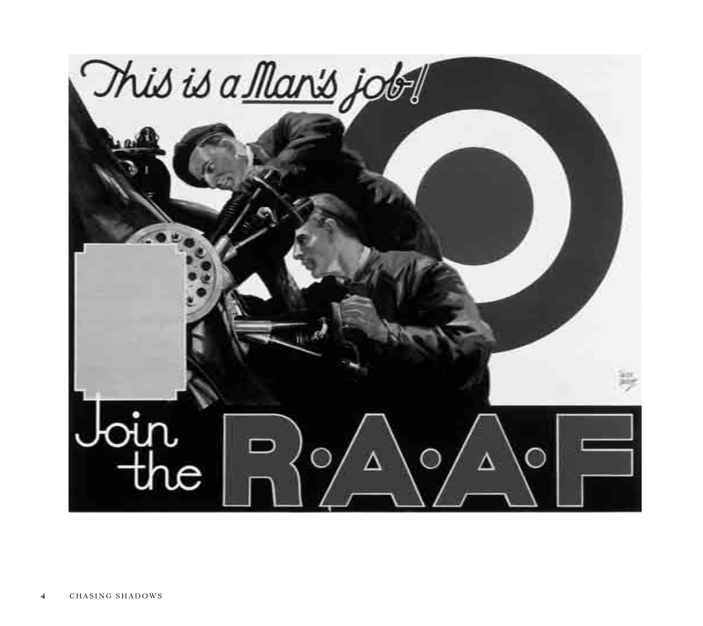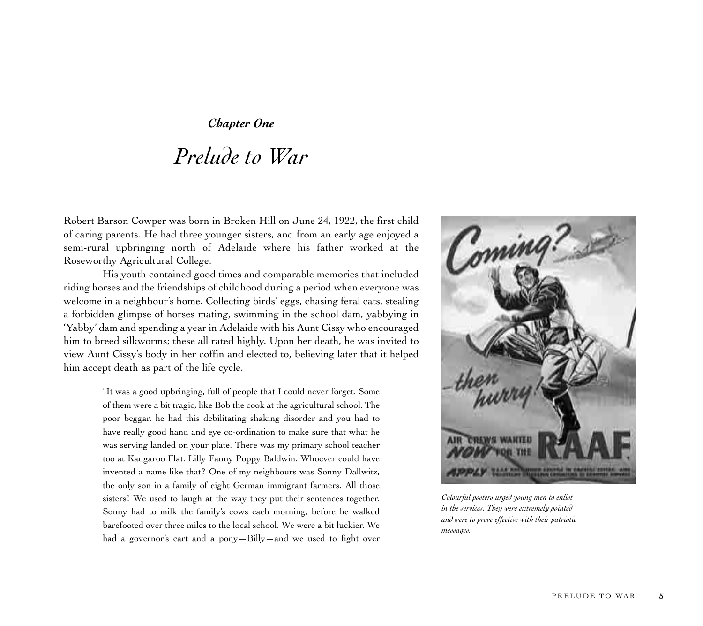*Chapter One*

## *Prelude to War*

Robert Barson Cowper was born in Broken Hill on June 24, 1922, the first child of caring parents. He had three younger sisters, and from an early age enjoyed a semi-rural upbringing north of Adelaide where his father worked at the Roseworthy Agricultural College.

His youth contained good times and comparable memories that included riding horses and the friendships of childhood during a period when everyone was welcome in a neighbour's home. Collecting birds' eggs, chasing feral cats, stealing a forbidden glimpse of horses mating, swimming in the school dam, yabbying in 'Yabby' dam and spending a year in Adelaide with his Aunt Cissy who encouraged him to breed silkworms; these all rated highly. Upon her death, he was invited to view Aunt Cissy's body in her coffin and elected to, believing later that it helped him accept death as part of the life cycle.

> "It was a good upbringing, full of people that I could never forget. Some of them were a bit tragic, like Bob the cook at the agricultural school. The poor beggar, he had this debilitating shaking disorder and you had to have really good hand and eye co-ordination to make sure that what he was serving landed on your plate. There was my primary school teacher too at Kangaroo Flat. Lilly Fanny Poppy Baldwin. Whoever could have invented a name like that? One of my neighbours was Sonny Dallwitz, the only son in a family of eight German immigrant farmers. All those sisters! We used to laugh at the way they put their sentences together. Sonny had to milk the family's cows each morning, before he walked barefooted over three miles to the local school. We were a bit luckier. We had a governor's cart and a pony—Billy—and we used to fight over



*Colourful posters urged young men to enlist in the services. They were extremely pointed and were to prove effective with their patriotic messages.*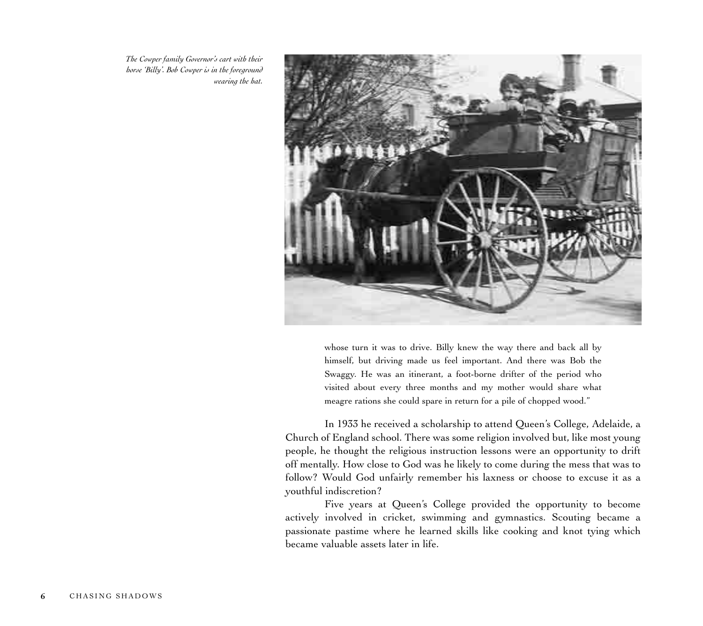*The Cowper family Governor's cart with their horse 'Billy'. Bob Cowper is in the foreground wearing the hat.*



whose turn it was to drive. Billy knew the way there and back all by himself, but driving made us feel important. And there was Bob the Swaggy. He was an itinerant, a foot-borne drifter of the period who visited about every three months and my mother would share what meagre rations she could spare in return for a pile of chopped wood."

In 1933 he received a scholarship to attend Queen's College, Adelaide, a Church of England school. There was some religion involved but, like most young people, he thought the religious instruction lessons were an opportunity to drift off mentally. How close to God was he likely to come during the mess that was to follow? Would God unfairly remember his laxness or choose to excuse it as a youthful indiscretion?

Five years at Queen's College provided the opportunity to become actively involved in cricket, swimming and gymnastics. Scouting became a passionate pastime where he learned skills like cooking and knot tying which became valuable assets later in life.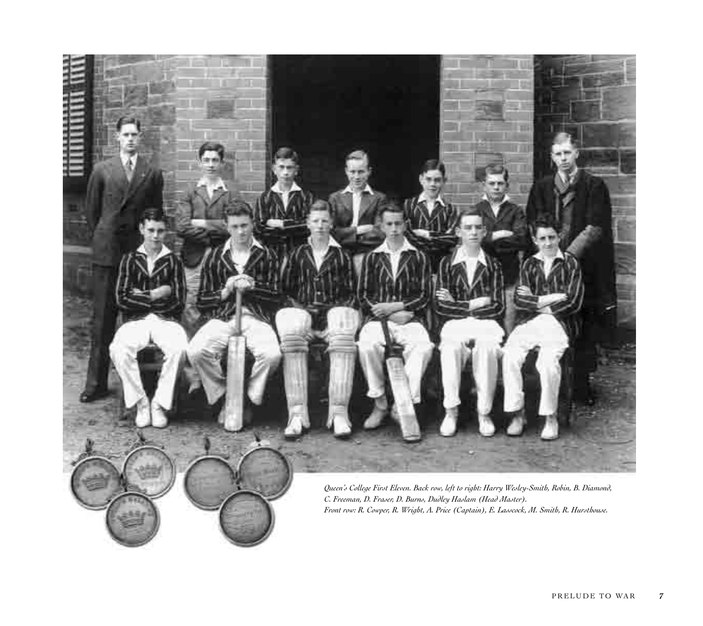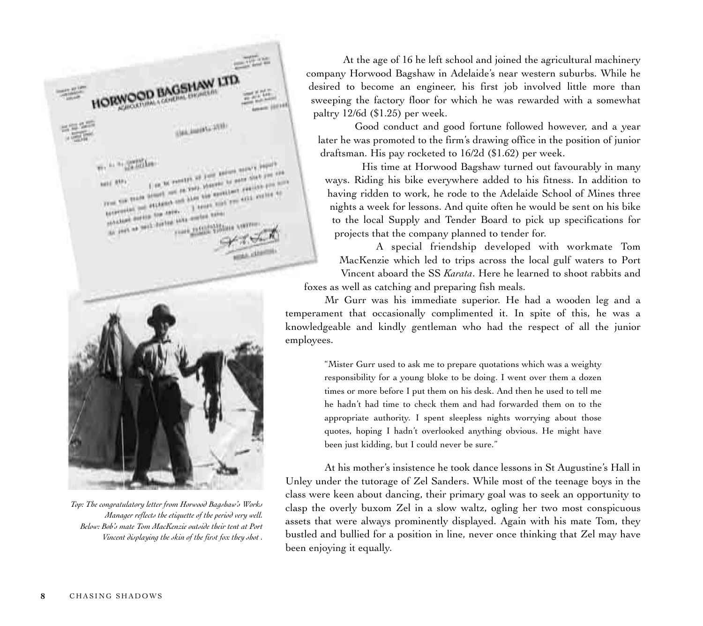Cancelling Margaret Int<br>The Angle Alexandric Int **MAR** TWO COR TIGHT eine tre term.<br>Sein der ten sinte erfolgte bilde mail result than



*Top: The congratulatory letter from Horwood Bagshaw's Works Manager reflects the etiquette of the period very well. Below: Bob's mate Tom MacKenzie outside their tent at Port Vincent displaying the skin of the first fox they shot .*

At the age of 16 he left school and joined the agricultural machinery company Horwood Bagshaw in Adelaide's near western suburbs. While he desired to become an engineer, his first job involved little more than sweeping the factory floor for which he was rewarded with a somewhat paltry 12/6d (\$1.25) per week.

Good conduct and good fortune followed however, and a year later he was promoted to the firm's drawing office in the position of junior draftsman. His pay rocketed to 16/2d (\$1.62) per week.

His time at Horwood Bagshaw turned out favourably in many ways. Riding his bike everywhere added to his fitness. In addition to having ridden to work, he rode to the Adelaide School of Mines three nights a week for lessons. And quite often he would be sent on his bike to the local Supply and Tender Board to pick up specifications for projects that the company planned to tender for.

A special friendship developed with workmate Tom MacKenzie which led to trips across the local gulf waters to Port Vincent aboard the SS *Karata*. Here he learned to shoot rabbits and foxes as well as catching and preparing fish meals.

Mr Gurr was his immediate superior. He had a wooden leg and a temperament that occasionally complimented it. In spite of this, he was a knowledgeable and kindly gentleman who had the respect of all the junior employees.

> "Mister Gurr used to ask me to prepare quotations which was a weighty responsibility for a young bloke to be doing. I went over them a dozen times or more before I put them on his desk. And then he used to tell me he hadn't had time to check them and had forwarded them on to the appropriate authority. I spent sleepless nights worrying about those quotes, hoping I hadn't overlooked anything obvious. He might have been just kidding, but I could never be sure."

At his mother's insistence he took dance lessons in St Augustine's Hall in Unley under the tutorage of Zel Sanders. While most of the teenage boys in the class were keen about dancing, their primary goal was to seek an opportunity to clasp the overly buxom Zel in a slow waltz, ogling her two most conspicuous assets that were always prominently displayed. Again with his mate Tom, they bustled and bullied for a position in line, never once thinking that Zel may have been enjoying it equally.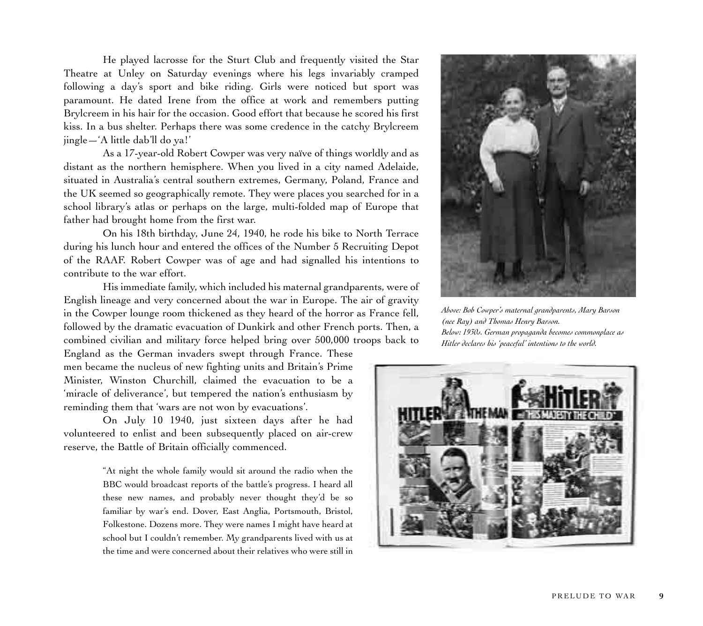He played lacrosse for the Sturt Club and frequently visited the Star Theatre at Unley on Saturday evenings where his legs invariably cramped following a day's sport and bike riding. Girls were noticed but sport was paramount. He dated Irene from the office at work and remembers putting Brylcreem in his hair for the occasion. Good effort that because he scored his first kiss. In a bus shelter. Perhaps there was some credence in the catchy Brylcreem jingle—'A little dab'll do ya!'

As a 17-year-old Robert Cowper was very naïve of things worldly and as distant as the northern hemisphere. When you lived in a city named Adelaide, situated in Australia's central southern extremes, Germany, Poland, France and the UK seemed so geographically remote. They were places you searched for in a school library's atlas or perhaps on the large, multi-folded map of Europe that father had brought home from the first war.

On his 18th birthday, June 24, 1940, he rode his bike to North Terrace during his lunch hour and entered the offices of the Number 5 Recruiting Depot of the RAAF. Robert Cowper was of age and had signalled his intentions to contribute to the war effort.

His immediate family, which included his maternal grandparents, were of English lineage and very concerned about the war in Europe. The air of gravity in the Cowper lounge room thickened as they heard of the horror as France fell, followed by the dramatic evacuation of Dunkirk and other French ports. Then, a combined civilian and military force helped bring over 500,000 troops back to

England as the German invaders swept through France. These men became the nucleus of new fighting units and Britain's Prime Minister, Winston Churchill, claimed the evacuation to be a 'miracle of deliverance', but tempered the nation's enthusiasm by reminding them that 'wars are not won by evacuations'.

On July 10 1940, just sixteen days after he had volunteered to enlist and been subsequently placed on air-crew reserve, the Battle of Britain officially commenced.

> "At night the whole family would sit around the radio when the BBC would broadcast reports of the battle's progress. I heard all these new names, and probably never thought they'd be so familiar by war's end. Dover, East Anglia, Portsmouth, Bristol, Folkestone. Dozens more. They were names I might have heard at school but I couldn't remember. My grandparents lived with us at the time and were concerned about their relatives who were still in



*Above: Bob Cowper's maternal grandparents, Mary Barson (nee Ray) and Thomas Henry Barson. Below: 1930s. German propaganda becomes commonplace as Hitler declares his 'peaceful' intentions to the world.*

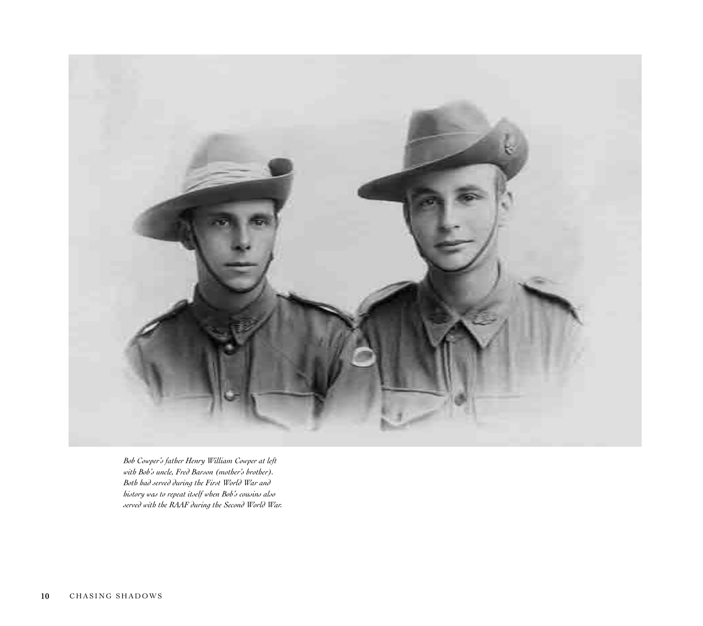

*Bob Cowper's father Henry William Cowper at left with Bob's uncle, Fred Barson (mother's brother). Both had served during the First World War and history was to repeat itself when Bob's cousins also served with the RAAF during the Second World War.*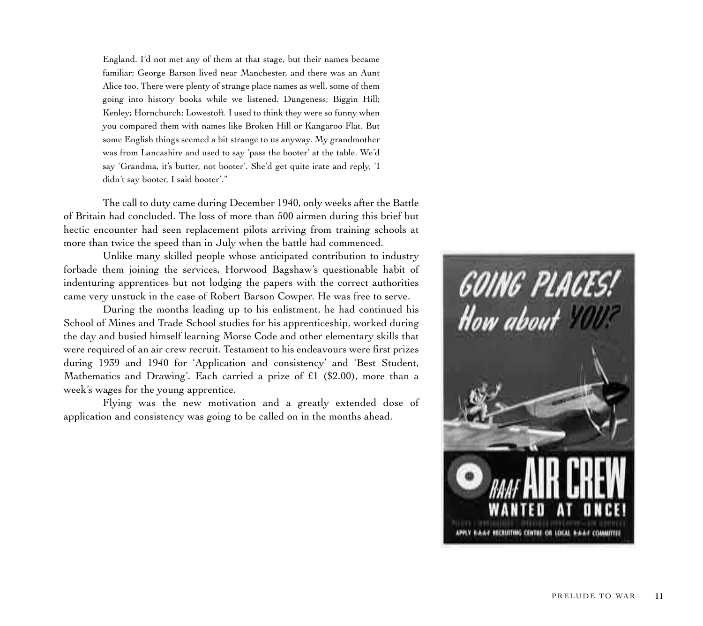England. I'd not met any of them at that stage, but their names became familiar; George Barson lived near Manchester, and there was an Aunt Alice too. There were plenty of strange place names as well, some of them going into history books while we listened. Dungeness; Biggin Hill; Kenley; Hornchurch; Lowestoft. I used to think they were so funny when you compared them with names like Broken Hill or Kangaroo Flat. But some English things seemed a bit strange to us anyway. My grandmother was from Lancashire and used to say 'pass the booter' at the table. We'd say 'Grandma, it's butter, not booter'. She'd get quite irate and reply, 'I didn't say booter, I said booter'."

The call to duty came during December 1940, only weeks after the Battle of Britain had concluded. The loss of more than 500 airmen during this brief but hectic encounter had seen replacement pilots arriving from training schools at more than twice the speed than in July when the battle had commenced.

Unlike many skilled people whose anticipated contribution to industry forbade them joining the services, Horwood Bagshaw's questionable habit of indenturing apprentices but not lodging the papers with the correct authorities came very unstuck in the case of Robert Barson Cowper. He was free to serve.

During the months leading up to his enlistment, he had continued his School of Mines and Trade School studies for his apprenticeship, worked during the day and busied himself learning Morse Code and other elementary skills that were required of an air crew recruit. Testament to his endeavours were first prizes during 1939 and 1940 for 'Application and consistency' and 'Best Student, Mathematics and Drawing'. Each carried a prize of £1 (\$2.00), more than a week's wages for the young apprentice.

Flying was the new motivation and a greatly extended dose of application and consistency was going to be called on in the months ahead.